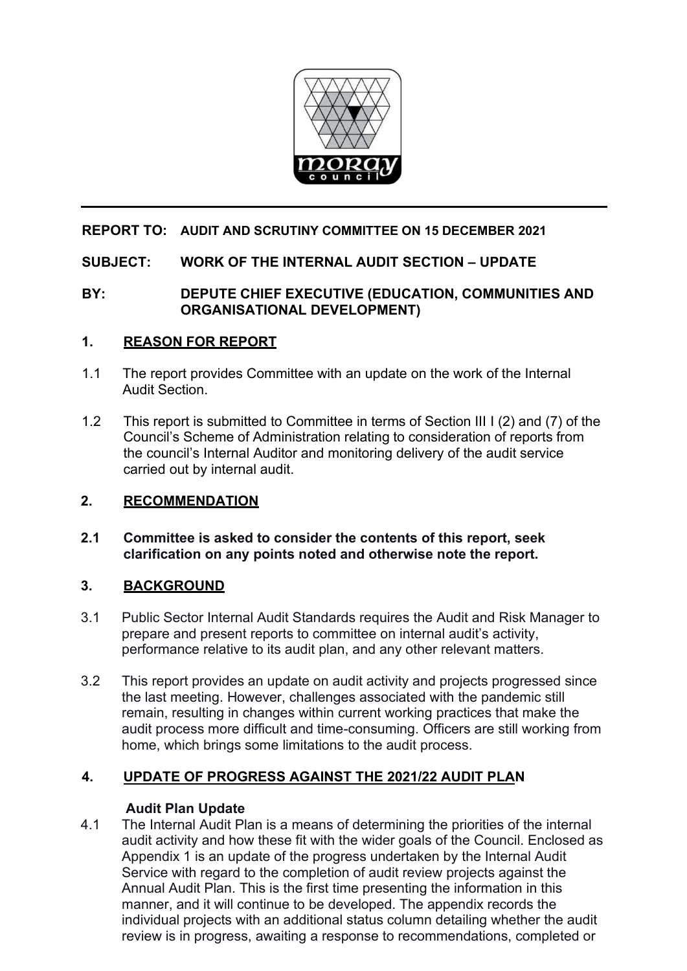

# **REPORT TO: AUDIT AND SCRUTINY COMMITTEE ON 15 DECEMBER 2021**

### **SUBJECT: WORK OF THE INTERNAL AUDIT SECTION – UPDATE**

# **BY: DEPUTE CHIEF EXECUTIVE (EDUCATION, COMMUNITIES AND ORGANISATIONAL DEVELOPMENT)**

### **1. REASON FOR REPORT**

- 1.1 The report provides Committee with an update on the work of the Internal Audit Section.
- 1.2 This report is submitted to Committee in terms of Section III I (2) and (7) of the Council's Scheme of Administration relating to consideration of reports from the council's Internal Auditor and monitoring delivery of the audit service carried out by internal audit.

# **2. RECOMMENDATION**

**2.1 Committee is asked to consider the contents of this report, seek clarification on any points noted and otherwise note the report.** 

### **3. BACKGROUND**

- 3.1 Public Sector Internal Audit Standards requires the Audit and Risk Manager to prepare and present reports to committee on internal audit's activity, performance relative to its audit plan, and any other relevant matters.
- 3.2 This report provides an update on audit activity and projects progressed since the last meeting. However, challenges associated with the pandemic still remain, resulting in changes within current working practices that make the audit process more difficult and time-consuming. Officers are still working from home, which brings some limitations to the audit process.

# **4. UPDATE OF PROGRESS AGAINST THE 2021/22 AUDIT PLAN**

### **Audit Plan Update**

4.1 The Internal Audit Plan is a means of determining the priorities of the internal audit activity and how these fit with the wider goals of the Council. Enclosed as Appendix 1 is an update of the progress undertaken by the Internal Audit Service with regard to the completion of audit review projects against the Annual Audit Plan. This is the first time presenting the information in this manner, and it will continue to be developed. The appendix records the individual projects with an additional status column detailing whether the audit review is in progress, awaiting a response to recommendations, completed or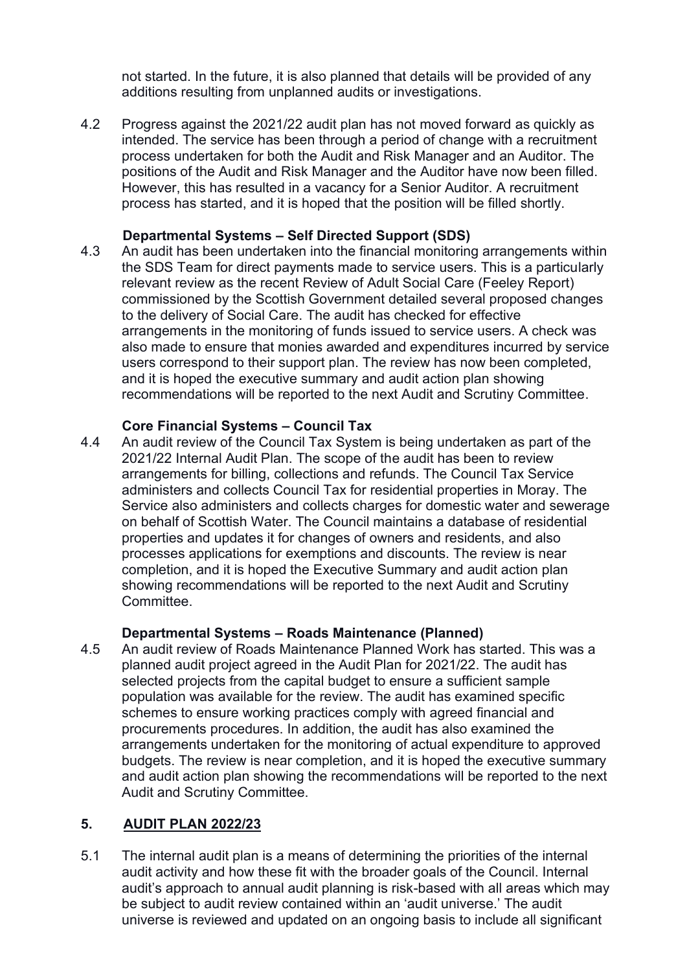not started. In the future, it is also planned that details will be provided of any additions resulting from unplanned audits or investigations.

4.2 Progress against the 2021/22 audit plan has not moved forward as quickly as intended. The service has been through a period of change with a recruitment process undertaken for both the Audit and Risk Manager and an Auditor. The positions of the Audit and Risk Manager and the Auditor have now been filled. However, this has resulted in a vacancy for a Senior Auditor. A recruitment process has started, and it is hoped that the position will be filled shortly.

# **Departmental Systems – Self Directed Support (SDS)**

4.3 An audit has been undertaken into the financial monitoring arrangements within the SDS Team for direct payments made to service users. This is a particularly relevant review as the recent Review of Adult Social Care (Feeley Report) commissioned by the Scottish Government detailed several proposed changes to the delivery of Social Care. The audit has checked for effective arrangements in the monitoring of funds issued to service users. A check was also made to ensure that monies awarded and expenditures incurred by service users correspond to their support plan. The review has now been completed, and it is hoped the executive summary and audit action plan showing recommendations will be reported to the next Audit and Scrutiny Committee.

# **Core Financial Systems – Council Tax**<br>4.4 An audit review of the Council Tax System

An audit review of the Council Tax System is being undertaken as part of the 2021/22 Internal Audit Plan. The scope of the audit has been to review arrangements for billing, collections and refunds. The Council Tax Service administers and collects Council Tax for residential properties in Moray. The Service also administers and collects charges for domestic water and sewerage on behalf of Scottish Water. The Council maintains a database of residential properties and updates it for changes of owners and residents, and also processes applications for exemptions and discounts. The review is near completion, and it is hoped the Executive Summary and audit action plan showing recommendations will be reported to the next Audit and Scrutiny Committee.

# **Departmental Systems – Roads Maintenance (Planned)**

4.5 An audit review of Roads Maintenance Planned Work has started. This was a planned audit project agreed in the Audit Plan for 2021/22. The audit has selected projects from the capital budget to ensure a sufficient sample population was available for the review. The audit has examined specific schemes to ensure working practices comply with agreed financial and procurements procedures. In addition, the audit has also examined the arrangements undertaken for the monitoring of actual expenditure to approved budgets. The review is near completion, and it is hoped the executive summary and audit action plan showing the recommendations will be reported to the next Audit and Scrutiny Committee.

# **5. AUDIT PLAN 2022/23**

5.1 The internal audit plan is a means of determining the priorities of the internal audit activity and how these fit with the broader goals of the Council. Internal audit's approach to annual audit planning is risk-based with all areas which may be subject to audit review contained within an 'audit universe.' The audit universe is reviewed and updated on an ongoing basis to include all significant